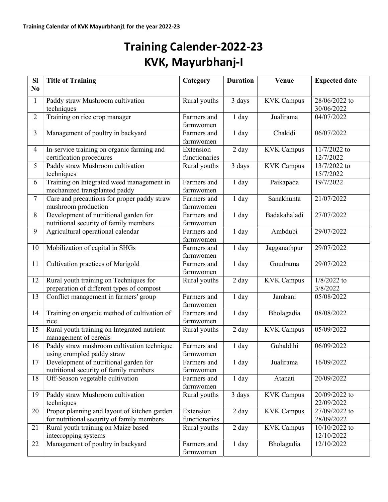## Training Calender-2022-23 KVK, Mayurbhanj-I

| <b>SI</b>      | <b>Title of Training</b>                                                                   | Category                   | <b>Duration</b>    | Venue             | <b>Expected date</b>               |
|----------------|--------------------------------------------------------------------------------------------|----------------------------|--------------------|-------------------|------------------------------------|
| N <sub>0</sub> |                                                                                            |                            |                    |                   |                                    |
| $\mathbf{1}$   | Paddy straw Mushroom cultivation<br>techniques                                             | Rural youths               | 3 days             | <b>KVK Campus</b> | 28/06/2022 to<br>30/06/2022        |
| $\overline{2}$ | Training on rice crop manager                                                              | Farmers and<br>farmwomen   | 1 day              | Jualirama         | 04/07/2022                         |
| $\overline{3}$ | Management of poultry in backyard                                                          | Farmers and<br>farmwomen   | 1 day              | Chakidi           | 06/07/2022                         |
| $\overline{4}$ | In-service training on organic farming and<br>certification procedures                     | Extension<br>functionaries | $\overline{2}$ day | <b>KVK Campus</b> | 11/7/2022 to<br>12/7/2022          |
| 5              | Paddy straw Mushroom cultivation<br>techniques                                             | Rural youths               | 3 days             | <b>KVK Campus</b> | $\sqrt{13/7/2022}$ to<br>15/7/2022 |
| 6              | Training on Integrated weed management in<br>mechanized transplanted paddy                 | Farmers and<br>farmwomen   | 1 day              | Paikapada         | 19/7/2022                          |
| $\overline{7}$ | Care and precautions for proper paddy straw<br>mushroom production                         | Farmers and<br>farmwomen   | 1 day              | Sanakhunta        | 21/07/2022                         |
| 8              | Development of nutritional garden for<br>nutritional security of family members            | Farmers and<br>farmwomen   | 1 day              | Badakahaladi      | 27/07/2022                         |
| 9              | Agricultural operational calendar                                                          | Farmers and<br>farmwomen   | 1 day              | Ambdubi           | 29/07/2022                         |
| 10             | Mobilization of capital in SHGs                                                            | Farmers and<br>farmwomen   | 1 day              | Jagganathpur      | 29/07/2022                         |
| 11             | Cultivation practices of Marigold                                                          | Farmers and<br>farmwomen   | 1 day              | Goudrama          | 29/07/2022                         |
| 12             | Rural youth training on Techniques for<br>preparation of different types of compost        | Rural youths               | 2 day              | <b>KVK Campus</b> | $1/8/2022$ to<br>3/8/2022          |
| 13             | Conflict management in farmers' group                                                      | Farmers and<br>farmwomen   | 1 day              | Jambani           | 05/08/2022                         |
| 14             | Training on organic method of cultivation of<br>rice                                       | Farmers and<br>farmwomen   | 1 day              | Bholagadia        | 08/08/2022                         |
| 15             | Rural youth training on Integrated nutrient<br>management of cereals                       | Rural youths               | 2 day              | <b>KVK Campus</b> | 05/09/2022                         |
| 16             | Paddy straw mushroom cultivation technique<br>using crumpled paddy straw                   | Farmers and<br>farmwomen   | 1 day              | Guhaldihi         | 06/09/2022                         |
| 17             | Development of nutritional garden for<br>nutritional security of family members            | Farmers and<br>farmwomen   | 1 day              | Jualirama         | 16/09/2022                         |
| 18             | Off-Season vegetable cultivation                                                           | Farmers and<br>farmwomen   | 1 day              | Atanati           | 20/09/2022                         |
| 19             | Paddy straw Mushroom cultivation<br>techniques                                             | Rural youths               | 3 days             | <b>KVK Campus</b> | 20/09/2022 to<br>22/09/2022        |
| 20             | Proper planning and layout of kitchen garden<br>for nutritional security of family members | Extension<br>functionaries | 2 day              | <b>KVK Campus</b> | 27/09/2022 to<br>28/09/2022        |
| 21             | Rural youth training on Maize based<br>intecropping systems                                | Rural youths               | 2 day              | <b>KVK Campus</b> | 10/10/2022 to<br>12/10/2022        |
| 22             | Management of poultry in backyard                                                          | Farmers and<br>farmwomen   | $1$ day            | Bholagadia        | 12/10/2022                         |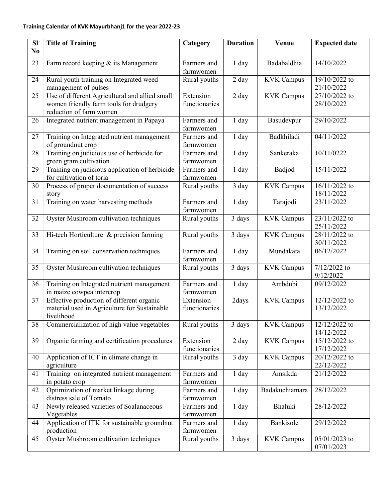## Training Calendar of KVK Mayurbhanj1 for the year 2022-23

| SI             | <b>Title of Training</b>                                     | Category                 | <b>Duration</b> | Venue             | <b>Expected date</b>        |
|----------------|--------------------------------------------------------------|--------------------------|-----------------|-------------------|-----------------------------|
| N <sub>0</sub> |                                                              |                          |                 |                   |                             |
| 23             |                                                              | Farmers and              |                 | Badabaldhia       | 14/10/2022                  |
|                | Farm record keeping & its Management                         | farmwomen                | 1 day           |                   |                             |
| 24             | Rural youth training on Integrated weed                      | Rural youths             | 2 day           | <b>KVK Campus</b> | 19/10/2022 to               |
|                | management of pulses                                         |                          |                 |                   | 21/10/2022                  |
| 25             | Use of different Agricultural and allied small               | Extension                | 2 day           | <b>KVK Campus</b> | 27/10/2022 to               |
|                | women friendly farm tools for drudgery                       | functionaries            |                 |                   | 28/10/2022                  |
|                | reduction of farm women                                      |                          |                 |                   |                             |
| 26             | Integrated nutrient management in Papaya                     | Farmers and              | 1 day           | Basudevpur        | 29/10/2022                  |
|                |                                                              | farmwomen                |                 |                   |                             |
| 27             | Training on Integrated nutrient management                   | Farmers and              | 1 day           | Badkhiladi        | 04/11/2022                  |
|                | of groundnut crop                                            | farmwomen                |                 |                   |                             |
| 28             | Training on judicious use of herbicide for                   | Farmers and              | 1 day           | Sankeraka         | 10/11/0222                  |
|                | green gram cultivation                                       | farmwomen                |                 |                   |                             |
| 29             | Training on judicious application of herbicide               | Farmers and              | 1 day           | Badjod            | 15/11/2022                  |
|                | for cultivation of toria                                     | farmwomen                |                 |                   |                             |
| 30             | Process of proper documentation of success                   | Rural youths             | 3 day           | <b>KVK Campus</b> | 16/11/2022 to               |
|                | story                                                        |                          |                 |                   | 18/11/2022                  |
| 31             | Training on water harvesting methods                         | Farmers and              | 1 day           | Tarajodi          | 23/11/2022                  |
|                |                                                              | farmwomen                |                 |                   |                             |
| 32             | <b>Oyster Mushroom cultivation techniques</b>                | Rural youths             | 3 days          | <b>KVK Campus</b> | 23/11/2022 to               |
|                |                                                              |                          |                 |                   | 25/11/2022                  |
| 33             | Hi-tech Horticulture & precision farming                     | Rural youths             | 3 days          | <b>KVK Campus</b> | 28/11/2022 to<br>30/11/2022 |
| 34             | Training on soil conservation techniques                     | Farmers and              | 1 day           | Mundakata         | 06/12/2022                  |
|                |                                                              | farmwomen                |                 |                   |                             |
| 35             | Oyster Mushroom cultivation techniques                       | Rural youths             | 3 days          | <b>KVK Campus</b> | 7/12/2022 to                |
|                |                                                              |                          |                 |                   | 9/12/2022                   |
| 36             | Training on Integrated nutrient management                   | Farmers and              | 1 day           | Ambdubi           | 09/12/2022                  |
|                | in maize cowpea intercrop                                    | farmwomen                |                 |                   |                             |
| 37             | Effective production of different organic                    | Extension                | 2days           | <b>KVK Campus</b> | 12/12/2022 to               |
|                | material used in Agriculture for Sustainable                 | functionaries            |                 |                   | 13/12/2022                  |
|                | livelihood                                                   |                          |                 |                   |                             |
| 38             | Commercialization of high value vegetables                   | Rural youths             | 3 days          | <b>KVK Campus</b> | 12/12/2022 to               |
|                |                                                              |                          |                 |                   | 14/12/2022                  |
| 39             | Organic farming and certification procedures                 | Extension                | 2 day           | <b>KVK Campus</b> | 15/12/2022 to               |
|                |                                                              | functionaries            |                 |                   | 17/12/2022                  |
| 40             | Application of ICT in climate change in                      | Rural youths             | 3 day           | <b>KVK Campus</b> | 20/12/2022 to               |
|                | agriculture                                                  |                          |                 |                   | 22/12/2022                  |
| 41             | Training on integrated nutrient management<br>in potato crop | Farmers and<br>farmwomen | $1$ day         | Amsikda           | 21/12/2022                  |
| 42             | Optimization of market linkage during                        | Farmers and              | $1$ day         | Badakuchiamara    | 28/12/2022                  |
|                | distress sale of Tomato                                      | farmwomen                |                 |                   |                             |
| 43             | Newly released varieties of Soalanaceous                     | Farmers and              | 1 day           | Bhaluki           | 28/12/2022                  |
|                | Vegetables                                                   | farmwomen                |                 |                   |                             |
| 44             | Application of ITK for sustainable groundnut                 | Farmers and              | 1 day           | Bankisole         | 29/12/2022                  |
|                | production                                                   | farmwomen                |                 |                   |                             |
| 45             | Oyster Mushroom cultivation techniques                       | Rural youths             | 3 days          | <b>KVK Campus</b> | 05/01/2023 to               |
|                |                                                              |                          |                 |                   | 07/01/2023                  |